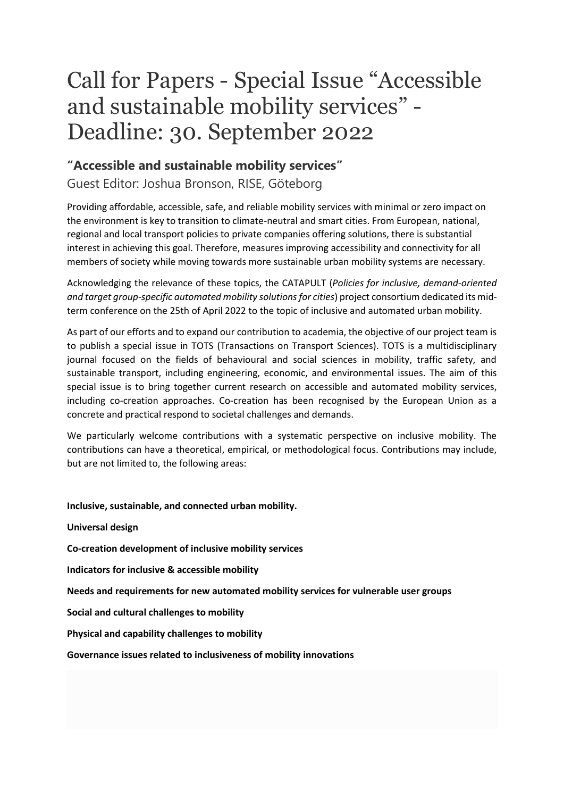## Call for Papers - Special Issue "Accessible and sustainable mobility services" - Deadline: 30. September 2022

## **"Accessible and sustainable mobility services"**

Guest Editor: Joshua Bronson, RISE, Göteborg

Providing affordable, accessible, safe, and reliable mobility services with minimal or zero impact on the environment is key to transition to climate-neutral and smart cities. From European, national, regional and local transport policies to private companies offering solutions, there is substantial interest in achieving this goal. Therefore, measures improving accessibility and connectivity for all members of society while moving towards more sustainable urban mobility systems are necessary.

Acknowledging the relevance of these topics, the CATAPULT (*Policies for inclusive, demand-oriented and target group-specific automated mobility solutions for cities*) project consortium dedicated its midterm conference on the 25th of April 2022 to the topic of inclusive and automated urban mobility.

As part of our efforts and to expand our contribution to academia, the objective of our project team is to publish a special issue in TOTS (Transactions on Transport Sciences). TOTS is a multidisciplinary journal focused on the fields of behavioural and social sciences in mobility, traffic safety, and sustainable transport, including engineering, economic, and environmental issues. The aim of this special issue is to bring together current research on accessible and automated mobility services, including co-creation approaches. Co-creation has been recognised by the European Union as a concrete and practical respond to societal challenges and demands.

We particularly welcome contributions with a systematic perspective on inclusive mobility. The contributions can have a theoretical, empirical, or methodological focus. Contributions may include, but are not limited to, the following areas:

**Inclusive, sustainable, and connected urban mobility.**

**Universal design Co-creation development of inclusive mobility services Indicators for inclusive & accessible mobility Needs and requirements for new automated mobility services for vulnerable user groups Social and cultural challenges to mobility Physical and capability challenges to mobility**

**Governance issues related to inclusiveness of mobility innovations**